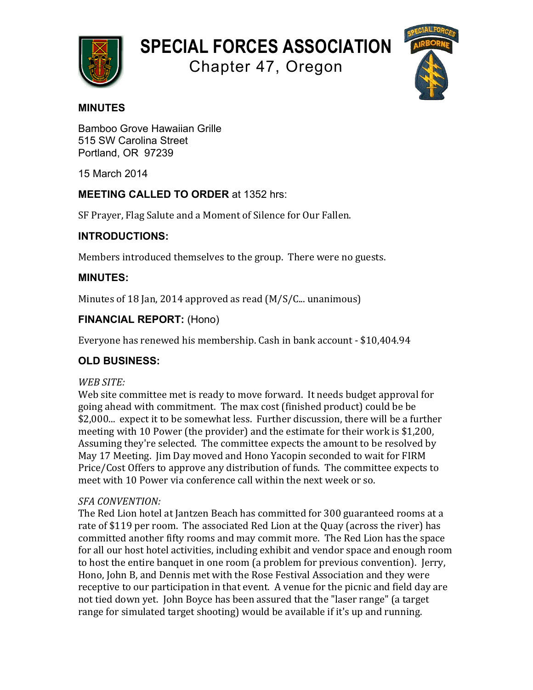

# **SPECIAL FORCES ASSOCIATION**

Chapter 47, Oregon



## **MINUTES**

Bamboo Grove Hawaiian Grille 515 SW Carolina Street Portland, OR 97239

15 March 2014

# **MEETING CALLED TO ORDER** at 1352 hrs:

SF Prayer, Flag Salute and a Moment of Silence for Our Fallen.

## **INTRODUCTIONS:**

Members introduced themselves to the group. There were no guests.

## **MINUTES:**

Minutes of 18 Jan, 2014 approved as read  $(M/S/C_{\ldots}$  unanimous)

## **FINANCIAL REPORT:** (Hono)

Everyone has renewed his membership. Cash in bank account - \$10,404.94

# **OLD BUSINESS:**

## *WEB SITE:*

Web site committee met is ready to move forward. It needs budget approval for going ahead with commitment. The max cost (finished product) could be be \$2,000... expect it to be somewhat less. Further discussion, there will be a further meeting with 10 Power (the provider) and the estimate for their work is \$1,200, Assuming they're selected. The committee expects the amount to be resolved by May 17 Meeting. Jim Day moved and Hono Yacopin seconded to wait for FIRM Price/Cost Offers to approve any distribution of funds. The committee expects to meet with 10 Power via conference call within the next week or so.

## *SFA CONVENTION:*

The Red Lion hotel at Jantzen Beach has committed for 300 guaranteed rooms at a rate of \$119 per room. The associated Red Lion at the Quay (across the river) has committed another fifty rooms and may commit more. The Red Lion has the space for all our host hotel activities, including exhibit and vendor space and enough room to host the entire banquet in one room (a problem for previous convention). Jerry, Hono, John B, and Dennis met with the Rose Festival Association and they were receptive to our participation in that event. A venue for the picnic and field day are not tied down yet. John Boyce has been assured that the "laser range" (a target range for simulated target shooting) would be available if it's up and running.